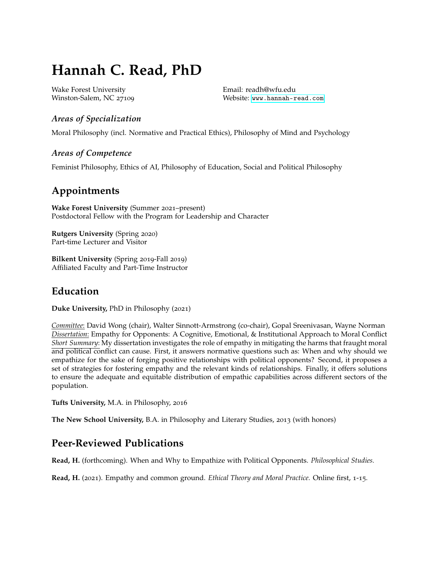# **Hannah C. Read, PhD**

Wake Forest University Winston-Salem, NC 27109 Email: readh@wfu.edu Website: <www.hannah-read.com>

### *Areas of Specialization*

Moral Philosophy (incl. Normative and Practical Ethics), Philosophy of Mind and Psychology

### *Areas of Competence*

Feminist Philosophy, Ethics of AI, Philosophy of Education, Social and Political Philosophy

## **Appointments**

**Wake Forest University** (Summer 2021–present) Postdoctoral Fellow with the Program for Leadership and Character

**Rutgers University** (Spring 2020) Part-time Lecturer and Visitor

**Bilkent University** (Spring 2019-Fall 2019) Affiliated Faculty and Part-Time Instructor

### **Education**

**Duke University,** PhD in Philosophy (2021)

*Committee*: David Wong (chair), Walter Sinnott-Armstrong (co-chair), Gopal Sreenivasan, Wayne Norman *Dissertation*: Empathy for Opponents: A Cognitive, Emotional, & Institutional Approach to Moral Conflict *Short Summary*: My dissertation investigates the role of empathy in mitigating the harms that fraught moral and political conflict can cause. First, it answers normative questions such as: When and why should we empathize for the sake of forging positive relationships with political opponents? Second, it proposes a set of strategies for fostering empathy and the relevant kinds of relationships. Finally, it offers solutions to ensure the adequate and equitable distribution of empathic capabilities across different sectors of the population.

**Tufts University,** M.A. in Philosophy, 2016

**The New School University,** B.A. in Philosophy and Literary Studies, 2013 (with honors)

# **Peer-Reviewed Publications**

**Read, H.** (forthcoming). When and Why to Empathize with Political Opponents. *Philosophical Studies.*

**Read, H.** (2021). Empathy and common ground. *Ethical Theory and Moral Practice.* Online first, 1-15.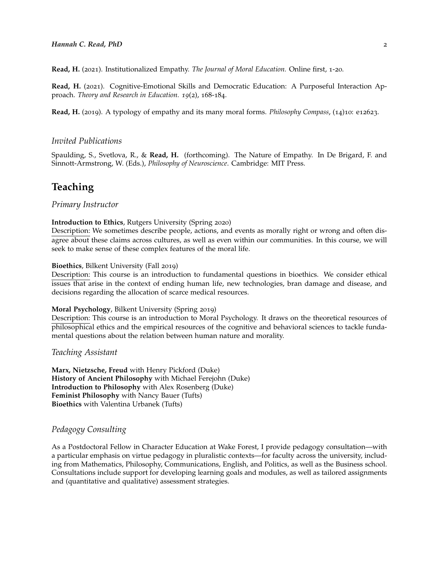**Read, H.** (2021). Institutionalized Empathy. *The Journal of Moral Education.* Online first, 1-20.

**Read, H.** (2021). Cognitive-Emotional Skills and Democratic Education: A Purposeful Interaction Approach. *Theory and Research in Education. 19*(2), 168-184.

**Read, H.** (2019). A typology of empathy and its many moral forms. *Philosophy Compass*, (14)10: e12623.

#### *Invited Publications*

Spaulding, S., Svetlova, R., & **Read, H.** (forthcoming). The Nature of Empathy. In De Brigard, F. and Sinnott-Armstrong, W. (Eds.), *Philosophy of Neuroscience*. Cambridge: MIT Press.

### **Teaching**

#### *Primary Instructor*

#### **Introduction to Ethics**, Rutgers University (Spring 2020)

Description: We sometimes describe people, actions, and events as morally right or wrong and often disagree about these claims across cultures, as well as even within our communities. In this course, we will seek to make sense of these complex features of the moral life.

#### **Bioethics**, Bilkent University (Fall 2019)

Description: This course is an introduction to fundamental questions in bioethics. We consider ethical issues that arise in the context of ending human life, new technologies, bran damage and disease, and decisions regarding the allocation of scarce medical resources.

#### **Moral Psychology**, Bilkent University (Spring 2019)

Description: This course is an introduction to Moral Psychology. It draws on the theoretical resources of philosophical ethics and the empirical resources of the cognitive and behavioral sciences to tackle fundamental questions about the relation between human nature and morality.

#### *Teaching Assistant*

**Marx, Nietzsche, Freud** with Henry Pickford (Duke) **History of Ancient Philosophy** with Michael Ferejohn (Duke) **Introduction to Philosophy** with Alex Rosenberg (Duke) **Feminist Philosophy** with Nancy Bauer (Tufts) **Bioethics** with Valentina Urbanek (Tufts)

### *Pedagogy Consulting*

As a Postdoctoral Fellow in Character Education at Wake Forest, I provide pedagogy consultation—with a particular emphasis on virtue pedagogy in pluralistic contexts—for faculty across the university, including from Mathematics, Philosophy, Communications, English, and Politics, as well as the Business school. Consultations include support for developing learning goals and modules, as well as tailored assignments and (quantitative and qualitative) assessment strategies.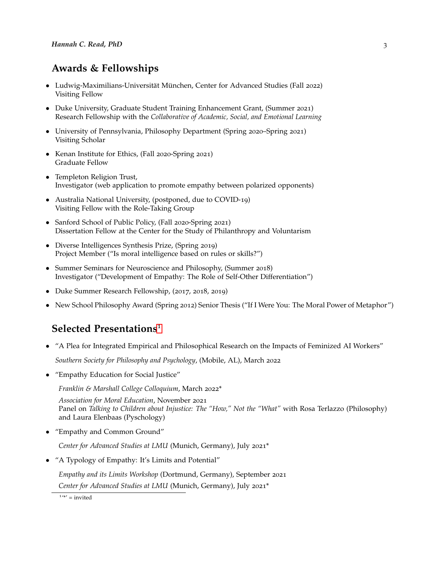# **Awards & Fellowships**

- Ludwig-Maximilians-Universität München, Center for Advanced Studies (Fall 2022) Visiting Fellow
- Duke University, Graduate Student Training Enhancement Grant, (Summer 2021) Research Fellowship with the *Collaborative of Academic, Social, and Emotional Learning*
- University of Pennsylvania, Philosophy Department (Spring 2020–Spring 2021) Visiting Scholar
- Kenan Institute for Ethics, (Fall 2020-Spring 2021) Graduate Fellow
- Templeton Religion Trust, Investigator (web application to promote empathy between polarized opponents)
- Australia National University, (postponed, due to COVID-19) Visiting Fellow with the Role-Taking Group
- Sanford School of Public Policy, (Fall 2020-Spring 2021) Dissertation Fellow at the Center for the Study of Philanthropy and Voluntarism
- Diverse Intelligences Synthesis Prize, (Spring 2019) Project Member ("Is moral intelligence based on rules or skills?")
- Summer Seminars for Neuroscience and Philosophy, (Summer 2018) Investigator ("Development of Empathy: The Role of Self-Other Differentiation")
- Duke Summer Research Fellowship, (2017, 2018, 2019)
- New School Philosophy Award (Spring 2012) Senior Thesis ("If I Were You: The Moral Power of Metaphor")

### **Selected Presentations**[1](#page-2-0)

- "A Plea for Integrated Empirical and Philosophical Research on the Impacts of Feminized AI Workers" *Southern Society for Philosophy and Psychology*, (Mobile, AL), March 2022
- "Empathy Education for Social Justice"

*Franklin & Marshall College Colloquium*, March 2022\*

*Association for Moral Education*, November 2021 Panel on *Talking to Children about Injustice: The "How," Not the "What"* with Rosa Terlazzo (Philosophy) and Laura Elenbaas (Pyschology)

• "Empathy and Common Ground"

*Center for Advanced Studies at LMU* (Munich, Germany), July 2021\*

• "A Typology of Empathy: It's Limits and Potential"

*Empathy and its Limits Workshop* (Dortmund, Germany), September 2021

*Center for Advanced Studies at LMU* (Munich, Germany), July 2021\*

<span id="page-2-0"></span> $1'$ <sup>\*</sup>' = invited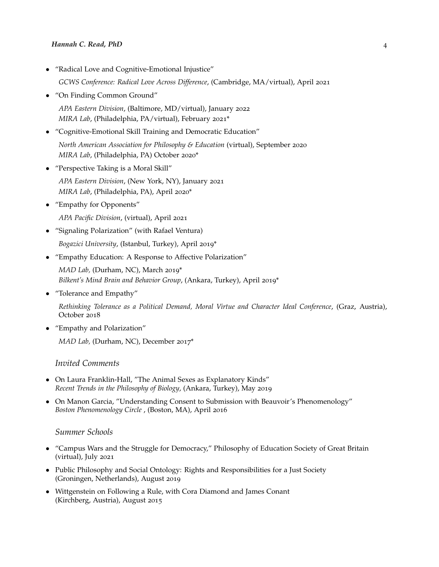#### *Hannah C. Read, PhD* 4

• "Radical Love and Cognitive-Emotional Injustice"

*GCWS Conference: Radical Love Across Difference*, (Cambridge, MA/virtual), April 2021

• "On Finding Common Ground"

*APA Eastern Division*, (Baltimore, MD/virtual), January 2022 *MIRA Lab*, (Philadelphia, PA/virtual), February 2021\*

- "Cognitive-Emotional Skill Training and Democratic Education" *North American Association for Philosophy & Education* (virtual), September 2020 *MIRA Lab*, (Philadelphia, PA) October 2020\*
- "Perspective Taking is a Moral Skill"
	- *APA Eastern Division*, (New York, NY), January 2021 *MIRA Lab*, (Philadelphia, PA), April 2020\*
- "Empathy for Opponents" *APA Pacific Division*, (virtual), April 2021
- "Signaling Polarization" (with Rafael Ventura)

*Bogazici University*, (Istanbul, Turkey), April 2019\*

• "Empathy Education: A Response to Affective Polarization"

*MAD Lab,* (Durham, NC), March 2019\* *Bilkent's Mind Brain and Behavior Group*, (Ankara, Turkey), April 2019\*

• "Tolerance and Empathy"

*Rethinking Tolerance as a Political Demand, Moral Virtue and Character Ideal Conference*, (Graz, Austria), October 2018

• "Empathy and Polarization"

*MAD Lab,* (Durham, NC), December 2017\*

#### *Invited Comments*

- On Laura Franklin-Hall, "The Animal Sexes as Explanatory Kinds" *Recent Trends in the Philosophy of Biology*, (Ankara, Turkey), May 2019
- On Manon Garcia, "Understanding Consent to Submission with Beauvoir's Phenomenology" *Boston Phenomenology Circle* , (Boston, MA), April 2016

#### *Summer Schools*

- "Campus Wars and the Struggle for Democracy," Philosophy of Education Society of Great Britain (virtual), July 2021
- Public Philosophy and Social Ontology: Rights and Responsibilities for a Just Society (Groningen, Netherlands), August 2019
- Wittgenstein on Following a Rule, with Cora Diamond and James Conant (Kirchberg, Austria), August 2015